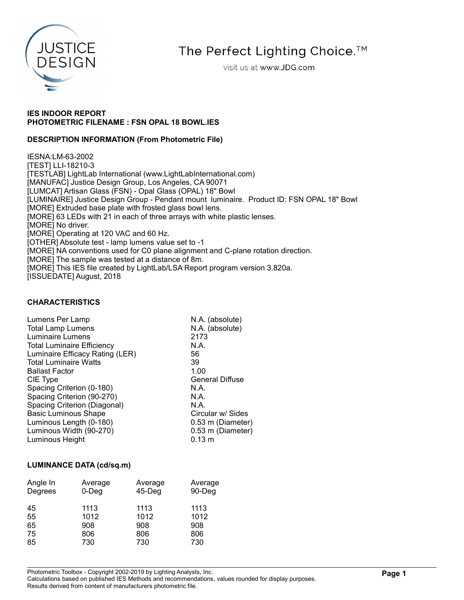

The Perfect Lighting Choice.<sup>™</sup>

visit us at www.JDG.com

## IES INDOOR REPORT PHOTOMETRIC FILENAME : FSN OPAL 18 BOWL.IES

### DESCRIPTION INFORMATION (From Photometric File)

IESNA:LM-63-2002 [TEST] LLI-18210-3 [TESTLAB] LightLab International (www.LightLabInternational.com) [MANUFAC] Justice Design Group, Los Angeles, CA 90071 [LUMCAT] Artisan Glass (FSN) - Opal Glass (OPAL) 18" Bowl [LUMINAIRE] Justice Design Group - Pendant mount luminaire. Product ID: FSN OPAL 18" Bowl [MORE] Extruded base plate with frosted glass bowl lens. [MORE] 63 LEDs with 21 in each of three arrays with white plastic lenses. [MORE] No driver. [MORE] Operating at 120 VAC and 60 Hz. [OTHER] Absolute test - lamp lumens value set to -1 [MORE] NA conventions used for C0 plane alignment and C-plane rotation direction. [MORE] The sample was tested at a distance of 8m. [MORE] This IES file created by LightLab/LSA Report program version 3.820a.

[ISSUEDATE] August, 2018

### CHARACTERISTICS

| Lumens Per Lamp                   | N.A. (absolute)        |
|-----------------------------------|------------------------|
| <b>Total Lamp Lumens</b>          | N.A. (absolute)        |
| Luminaire Lumens                  | 2173                   |
| <b>Total Luminaire Efficiency</b> | N.A.                   |
| Luminaire Efficacy Rating (LER)   | 56                     |
| <b>Total Luminaire Watts</b>      | 39                     |
| <b>Ballast Factor</b>             | 1.00                   |
| CIE Type                          | <b>General Diffuse</b> |
| Spacing Criterion (0-180)         | N.A.                   |
| Spacing Criterion (90-270)        | N.A.                   |
| Spacing Criterion (Diagonal)      | N.A.                   |
| <b>Basic Luminous Shape</b>       | Circular w/ Sides      |
| Luminous Length (0-180)           | 0.53 m (Diameter)      |
| Luminous Width (90-270)           | 0.53 m (Diameter)      |
| Luminous Height                   | $0.13 \; m$            |

### LUMINANCE DATA (cd/sq.m)

| Angle In<br>Degrees | Average<br>$0$ -Deg | Average<br>$45$ -Deg | Average<br>90-Deg |
|---------------------|---------------------|----------------------|-------------------|
| 45<br>55            | 1113<br>1012        | 1113<br>1012         | 1113<br>1012      |
| 65                  | 908                 | 908                  | 908               |
| 75                  | 806                 | 806                  | 806               |
| 85                  | 730                 | 730                  | 730               |

Photometric Toolbox - Copyright 2002-2019 by Lighting Analysts, Inc.

Calculations based on published IES Methods and recommendations, values rounded for display purposes. Results derived from content of manufacturers photometric file.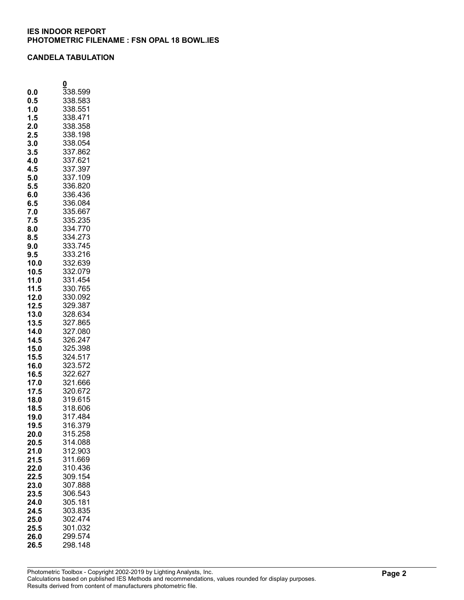## CANDELA TABULATION

|              | 0                  |
|--------------|--------------------|
| 0.0          | 338.599            |
| 0.5          | 338.583            |
| 1.0          | 338.551            |
| 1.5          | 338.471            |
| 2.0          | 338.358            |
| 2.5          | 338.198            |
| 3.0          | 338.054            |
| 3.5          | 337.862            |
| 4.0          | 337.621            |
| 4.5          | 337<br>.397        |
| 5.0          | 337.109            |
| 5.5          | 336.820            |
| 6.0          | 336.436            |
| 6.5          | 336.084            |
| 7.0          | 335.667            |
| 7.5          | 335.235            |
| 8.0          | 334.770            |
| 8.5          | 334.273            |
| 9.0          |                    |
| 9.5          | 333.745<br>333.216 |
|              | 332.639            |
| 10.0<br>10.5 | 332.079            |
|              |                    |
| 11.0         | 331.454            |
| 11.5         | 330.765<br>330.092 |
| 12.0         | 329.387            |
| 12.5         | 328.634            |
| 13.0         |                    |
| 13.5         | 327.865<br>327.080 |
| 14.0         |                    |
| 14.5         | 326.247            |
| 15.0         | 325.398            |
| 15.5         | 324.517            |
| 16.0         | 323.572            |
| 16.5         | 322.627            |
| 17.0         | 321.666            |
| 17.5         | 320.672            |
| 18.0         | 319.615            |
| 18.5         | 318.606            |
| 19.0         | 317.484            |
| 19.5         | 316.379            |
| 20.0         | 315.258            |
| 20.5         | 314.088            |
| 21.0         | 312.903            |
| 21.5         | 311.669            |
| 22.0         | 310.436            |
| 22.5         | 309.154            |
| 23.0         | 307.888            |
| 23.5         | 306.543            |
| 24.0         | 305.181            |
| 24.5         | 303.835            |
| 25.0         | 302.474            |
| 25.5         | 301.032            |
| 26.0         | 299.574            |
| 26.5         | 298.148            |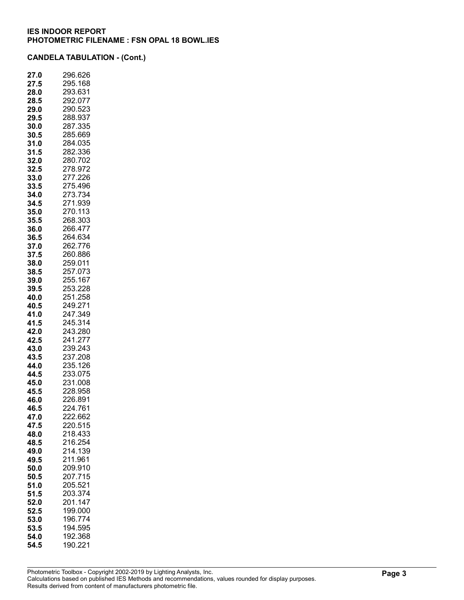| 27.<br>.0    | 296.626            |
|--------------|--------------------|
| 27.5         | 295.168            |
| 28.0         | 293.631            |
| 28.5         | 292.077            |
| 29.0         | 290.523            |
| 29.5         | 288.937            |
| 30.0         | 287.335            |
| 30.5<br>31.0 | 285.669<br>284.035 |
| 31.5         | 282.336            |
| 32.0         | 280.702            |
| 32.5         | 278.972            |
| 33.0         | 277.226            |
| 33.5         | 275.496            |
| 34.0         | 273.734            |
| 34.5         | 271.939            |
| 35.0         | 270.113            |
| 35.5         | 268.303            |
| 36.0         | 266.477            |
| 36.5         | 264.634            |
| 37.0         | 262.776            |
| 37.5         | 260.886            |
| 38.0         | 259.011            |
| 38.5         | 257.073            |
| 39.0         | 255.167            |
| 39.5         | 253.228            |
| 40.0         | 251.258            |
| 40.5         | 249.271            |
| 41.0         | 247.349            |
| 41.5         | 245.314            |
| 42.0         | 243.280            |
| 42.5         | 241.277<br>239.243 |
| 43.0<br>43.5 | 237.208            |
| 44.0         | 235.126            |
| 44.5         | 233.075            |
| 45.0         | 231.008            |
| 45.5         | 228.958            |
| 46.0         | 226.891            |
| 46.5         | 224.761            |
| 47.0         | 222.662            |
| 47.5         | 220.515            |
| 48.0         | 218.433            |
| 48.5         | 216.254            |
| 49.0         | 214.139            |
| 49.5         | 211.961            |
| 50.0         | 209.910            |
| 50.5         | 207.715            |
| 51.0         | 205.521            |
| 51.5         | 203.374            |
| 52.0         | 201.147            |
| 52.5         | 199.000            |
| 53.0         | 196.774            |
| 53.5         | 194.595            |
| 54.0         | 192.368            |
| 54.5         | 190.221            |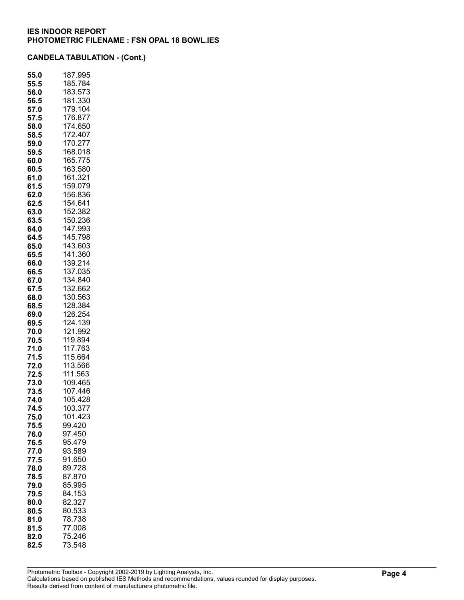| 55.0         | 187.995            |
|--------------|--------------------|
| 55.5         | 185.784            |
| 56.0         | 183.573            |
| 56.5         | 181.330            |
| 57.0         | 179.104            |
| 57.5<br>58.0 | 176.877<br>174.650 |
| 58.5         | 172.407            |
| 59.0         | 170.277            |
| 59.5         | 168.018            |
| 60.0         | 165.775            |
| 60.5         | 163.580            |
| 61.0         | 161.321            |
| 61.5         | 159.079            |
| 62.0         | 156.836            |
| 62.5         | 154.641            |
| 63.0         | 152.382            |
| 63.5         | 150.236            |
| 64.0         | 147.993<br>145.798 |
| 64.5         | 143.603            |
| 65.0<br>65.5 | 141.360            |
| 66.0         | 139.214            |
| 66.5         | 37.035<br>1        |
| 67.0         | 34.840<br>1        |
| 67.5         | 132.662            |
| 68.0         | 130.563            |
| 68.5         | 128.384            |
| 69.0         | 126.254            |
| 69.5         | 124.139            |
| 70.0         | 121.992            |
| 70.5<br>71.0 | 119.894<br>117.763 |
| 71.5         | 115.664            |
| 72.0         | 113.566            |
| 72.5         | 111.563            |
| 73.0         | 109.465            |
| 73.5         | 107.446            |
| 74.0         | 105.428            |
| 74.5         | 103.377            |
| 75.0         | 101.423            |
| 75.5         | 99.420             |
| 76.0         | 97.450             |
| 76.5         | 95.479<br>93.589   |
| 77.0<br>77.5 | 91.650             |
| 78.0         | 89.728             |
| 78.5         | 87.870             |
| 79.0         | 85.995             |
| 79.5         | 84.153             |
| 80.0         | 82.327             |
| 80.5         | 80.533             |
| 81.0         | 78.738             |
| 81.5         | 77.008             |
| 82.0         | 75.246             |
| 82.5         | 73.548             |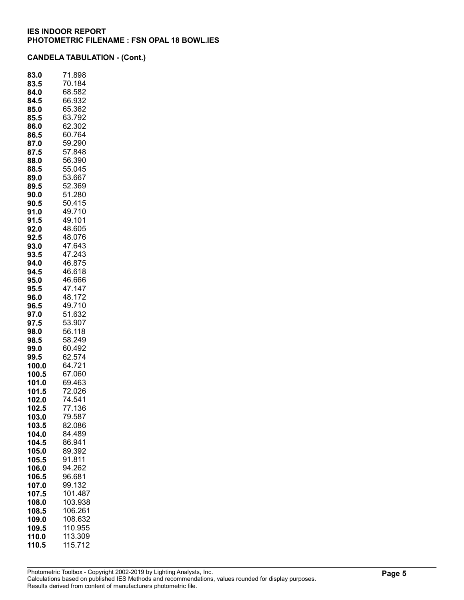| 83.0  | 71.898  |
|-------|---------|
| 83.5  | 70.184  |
| 84.0  | 68.582  |
| 84.5  | 66.932  |
| 85.0  | 65.362  |
| 85.5  | 63.792  |
| 86.0  | 62.302  |
| 86.5  | 60.764  |
| 87.0  | 59.290  |
| 87.5  | 57.848  |
| 88.0  | 56.390  |
| 88.5  | 55.045  |
| 89.0  | 53.667  |
| 89.5  | 52.369  |
| 90.0  | 51.280  |
| 90.5  | 50.415  |
| 91.0  | 49.710  |
| 91.5  | 49.101  |
| 92.0  | 48.605  |
| 92.5  | 48.076  |
| 93.0  | 47.643  |
| 93.5  | 47.243  |
| 94.0  | 46.875  |
| 94.5  | 46.618  |
| 95.0  | 46.666  |
| 95.5  | 47.147  |
| 96.0  | 48.172  |
| 96.5  | 49.710  |
| 97.0  | 51.632  |
| 97.5  | 53.907  |
| 98.0  | 56.118  |
| 98.5  | 58.249  |
| 99.0  | 60.492  |
| 99.5  | 62.574  |
| 100.0 | 64.721  |
| 100.5 | 67.060  |
| 101.0 | 69.463  |
| 101.5 | 72.026  |
| 102.0 | 74.541  |
| 102.5 | 77.136  |
| 103.0 | 79.587  |
| 103.5 | 82.086  |
| 104.0 | 84.489  |
| 104.5 | 86.941  |
| 105.0 | 89.392  |
| 105.5 | 91.811  |
| 106.0 | 94.262  |
| 106.5 | 96.681  |
| 107.0 | 99.132  |
| 107.5 | 101.487 |
| 108.0 | 103.938 |
| 108.5 | 106.261 |
| 109.0 | 108.632 |
| 109.5 | 110.955 |
| 110.0 | 113.309 |
| 110.5 | 115.712 |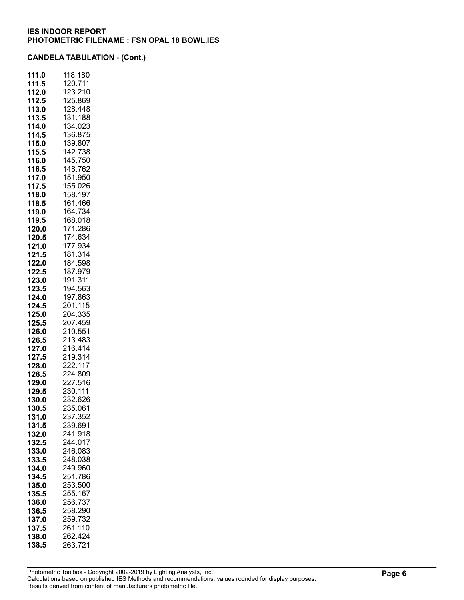| 111.0          | 118.180            |
|----------------|--------------------|
| 111.5          | 120.711            |
| 112.0          | 123.210            |
| 112.5          | 125.869            |
| 113.0          | 128.448            |
| 113.5          | 131.188            |
| 114.0          | 134.023            |
| 114.5          | 136.875            |
| 115.0          | 139.807            |
| 115.5          | 142.738            |
| 116.0          | 145.750            |
| 116.5          | 148.762            |
| 117.0          | 151.950            |
| 117.5          | 155.026            |
| 118.0          | 158.197            |
| 118.5          | 161.466            |
| 119.0          | 164.734            |
| 119.5          | 168.018            |
| 120.0          | 171.286            |
| 120.5          | 174.634<br>177.934 |
| 121.0<br>121.5 | 181.314            |
| 122.0          | 184.598            |
| 122.5          | 187.979            |
| 123.0          | 191.311            |
| 123.5          | 194.563            |
| 124.0          | 197.863            |
| 124.5          | 201.115            |
| 125.0          | 204.335            |
| 125.5          | 207.459            |
| 126.0          | 210.551            |
| 126.5          | 213.483            |
| 127.0          | 216.414            |
| 127.5          | 219.314            |
| 128.0          | 222.117            |
| 128.5          | 224.809            |
| 129.0          | 227.516            |
| 129.5          | 230.111            |
| 130.0          | 232.626            |
| 130.5          | 235.061            |
| 131.0          | 237.352            |
| 131.5          | 239.691            |
| 132.0          | 241.918            |
| 132.5          | 244.017            |
| 133.0          | 246.083            |
| 133.5          | 248.038            |
| 134.0          | 249.960            |
| 134.5          | 251.786<br>253.500 |
| 135.0<br>135.5 | 255.167            |
| 136.0          | 256.737            |
| 136.5          | 258.290            |
| 137.0          | 259.732            |
| 137.5          | 261.110            |
| 138.0          | 262.424            |
| 138.5          | 263.721            |
|                |                    |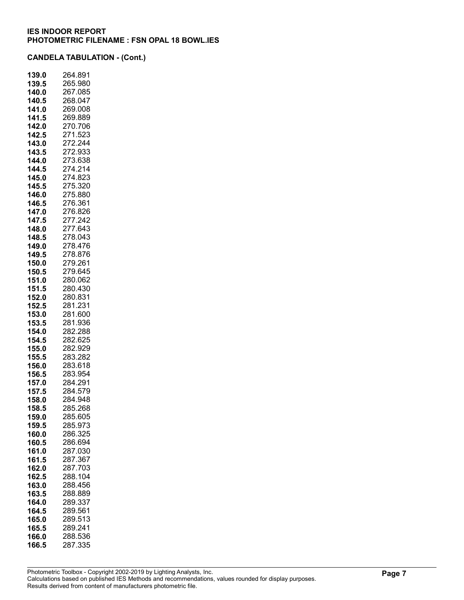| 139.0          | 264.891            |
|----------------|--------------------|
| 139.5          | 265.980            |
| 140.0          | 267.085            |
| 140.5          | 268.047            |
| 141.0          | 269.008            |
| 141.5          | 269.889            |
| 142.0          | 270.706            |
| 142.5          | 271.523            |
| 143.0          | 272.244            |
| 143.5          | 272.933            |
| 144.0          | 273.638            |
| 144.5          | 274.214            |
| 145.0          | 274.823            |
| 145.5          | 275.320            |
| 146.0          | 275.880            |
| 146.5          | 276.361            |
| 147.0          | 276.826<br>277.242 |
| 147.5          |                    |
| 148.0          | 277.643<br>278.043 |
| 148.5          | 278.476            |
| 149.0<br>149.5 | 278.876            |
| 150.0          | 279.261            |
| 150.5          | 279.645            |
| 151.0          | 280.062            |
| 151.5          | 280.430            |
| 152.0          | 280.831            |
| 152.5          | 281.231            |
| 153.0          | 281.600            |
| 153.5          | 281.936            |
| 154.0          | 282.288            |
| 154.5          | 282.625            |
| 155.0          | 282.929            |
| 155.5          | 283.282            |
| 156.0          | 283.618            |
| 156.5          | 283.954            |
| 157.0          | 284.291            |
| 157.5          | 284.579            |
| 158.0          | 284.948            |
| 158.5          | 285.268            |
| 159.0          | 285.605            |
| 159.5          | 285.973            |
| 160.0          | 286.325            |
| 160.5          | 286.694            |
| 161.0          | 287.030            |
| 161.5          | 287.367            |
| 162.0          | 287.703            |
| 162.5          | 288.104<br>288.456 |
| 163.0          | 288.889            |
| 163.5          | 289.337            |
| 164.0          | 289.561            |
| 164.5<br>165.0 | 289.513            |
| 165.5          | 289.241            |
| 166.0          | 288.536            |
| 166.5          | 287.335            |
|                |                    |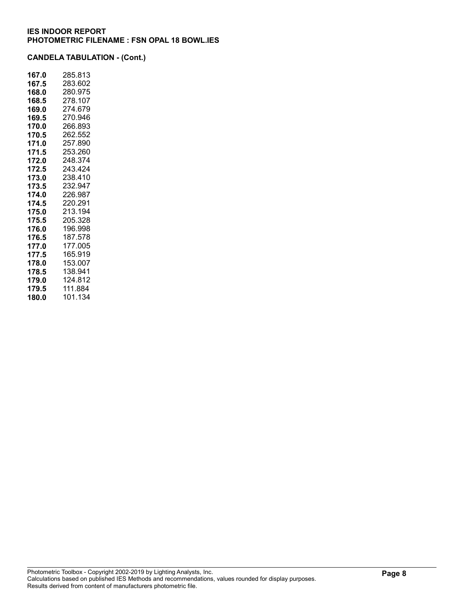| 167.0 | 285.813 |
|-------|---------|
| 167.5 | 283.602 |
| 168.0 | 280.975 |
| 168.5 | 278.107 |
| 169.0 | 274.679 |
| 169.5 | 270.946 |
| 170.0 | 266.893 |
| 170.5 | 262.552 |
| 171.0 | 257.890 |
| 171.5 | 253.260 |
| 172.0 | 248.374 |
| 172.5 | 243.424 |
| 173.0 | 238.410 |
| 173.5 | 232.947 |
| 174.0 | 226.987 |
| 174.5 | 220.291 |
| 175.0 | 213.194 |
| 175.5 | 205.328 |
| 176.0 | 196.998 |
| 176.5 | 187.578 |
| 177.0 | 177.005 |
| 177.5 | 165.919 |
| 178.0 | 153.007 |
| 178.5 | 138.941 |
| 179.0 | 124.812 |
| 179.5 | 111.884 |
| 180.0 | 101.134 |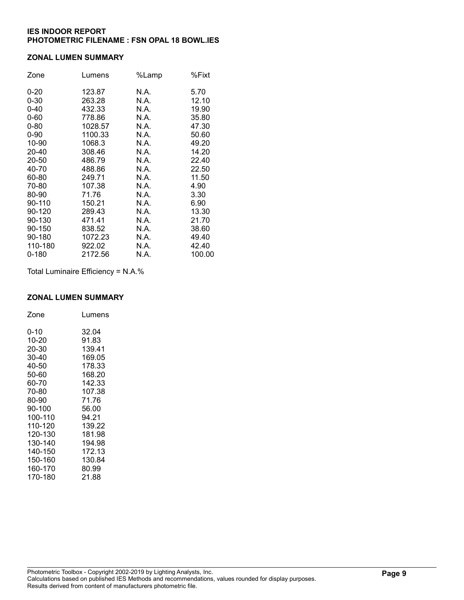#### ZONAL LUMEN SUMMARY

| Zone     | Lumens  | %Lamp | %Fixt  |
|----------|---------|-------|--------|
| $0 - 20$ | 123.87  | N.A.  | 5.70   |
| $0 - 30$ | 263.28  | N.A.  | 12.10  |
| $0 - 40$ | 432.33  | N.A.  | 19.90  |
| $0 - 60$ | 778.86  | N.A.  | 35.80  |
| $0 - 80$ | 1028.57 | N.A.  | 47.30  |
| $0 - 90$ | 1100.33 | N.A.  | 50.60  |
| 10-90    | 1068.3  | N.A.  | 49.20  |
| 20-40    | 308.46  | N.A.  | 14.20  |
| 20-50    | 486.79  | N.A.  | 22.40  |
| 40-70    | 488.86  | N.A.  | 22.50  |
| 60-80    | 249.71  | N.A.  | 11.50  |
| 70-80    | 107.38  | N.A.  | 4.90   |
| 80-90    | 71.76   | N.A.  | 3.30   |
| 90-110   | 150.21  | N.A.  | 6.90   |
| 90-120   | 289.43  | N.A.  | 13.30  |
| 90-130   | 471.41  | N.A.  | 21.70  |
| 90-150   | 838.52  | N.A.  | 38.60  |
| 90-180   | 1072.23 | N.A.  | 49.40  |
| 110-180  | 922.02  | N.A.  | 42.40  |
| 0-180    | 2172.56 | N.A.  | 100.00 |

Total Luminaire Efficiency = N.A.%

## ZONAL LUMEN SUMMARY

| Zone    | Lumens |
|---------|--------|
| 0-10    | 32.04  |
| 10-20   | 91.83  |
| 20-30   | 139.41 |
| 30-40   | 169.05 |
| 40-50   | 178.33 |
| 50-60   | 168.20 |
| 60-70   | 142.33 |
| 70-80   | 107.38 |
| 80-90   | 71.76  |
| 90-100  | 56.00  |
| 100-110 | 94.21  |
| 110-120 | 139.22 |
| 120-130 | 181.98 |
| 130-140 | 194.98 |
| 140-150 | 172.13 |
| 150-160 | 130.84 |
| 160-170 | 80.99  |
| 170-180 | 21.88  |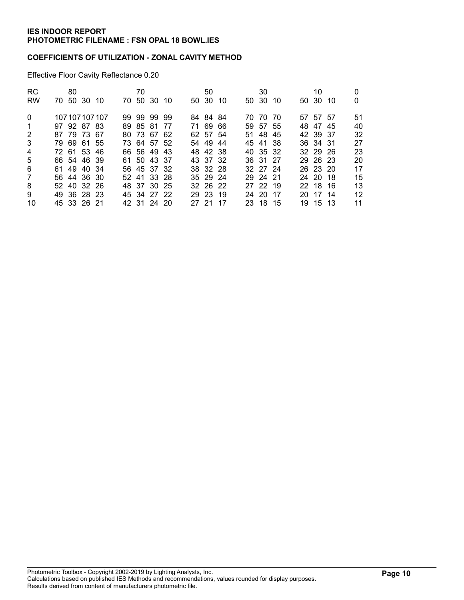#### COEFFICIENTS OF UTILIZATION - ZONAL CAVITY METHOD

Effective Floor Cavity Reflectance 0.20

| <b>RC</b>      | 80          |                 | 70 |             |       | 50       |      | 30       |  | 10       |    |
|----------------|-------------|-----------------|----|-------------|-------|----------|------|----------|--|----------|----|
| <b>RW</b>      | 70 50 30 10 |                 |    | 70 50 30 10 |       | 50 30 10 |      | 50 30 10 |  | 50 30 10 | 0  |
| $\Omega$       |             | 107 107 107 107 |    | 99 99 99 99 |       | 84 84 84 |      | 70 70 70 |  | 57 57 57 | 51 |
| -1             | 97 92 87 83 |                 |    | 89 85 81 77 |       | 71 69 66 |      | 59 57 55 |  | 48 47 45 | 40 |
| 2              | 87 79 73 67 |                 |    | 80 73 67 62 |       | 62 57 54 |      | 51 48 45 |  | 42 39 37 | 32 |
| 3              | 79 69 61 55 |                 |    | 73 64 57 52 |       | 54 49 44 |      | 45 41 38 |  | 36 34 31 | 27 |
| $\overline{4}$ | 72 61 53 46 |                 |    | 66 56 49 43 |       | 48 42 38 |      | 40 35 32 |  | 32 29 26 | 23 |
| 5              | 66 54 46 39 |                 |    | 61 50 43 37 |       | 43 37 32 |      | 36 31 27 |  | 29 26 23 | 20 |
| 6              | 61 49 40 34 |                 |    | 56 45 37 32 |       | 38 32 28 |      | 32 27 24 |  | 26 23 20 | 17 |
| 7              | 56 44 36 30 |                 |    | 52 41 33 28 |       | 35 29 24 |      | 29 24 21 |  | 24 20 18 | 15 |
| 8              | 52 40 32 26 |                 |    | 48 37 30 25 |       | 32 26 22 |      | 27 22 19 |  | 22 18 16 | 13 |
| 9              | 49 36 28 23 |                 |    | 45 34 27 22 |       | 29 23 19 |      | 24 20 17 |  | 20 17 14 | 12 |
| 10             | 45 33 26 21 |                 |    | 42 31 24 20 | 27 21 |          | - 17 | 23 18 15 |  | 19 15 13 | 11 |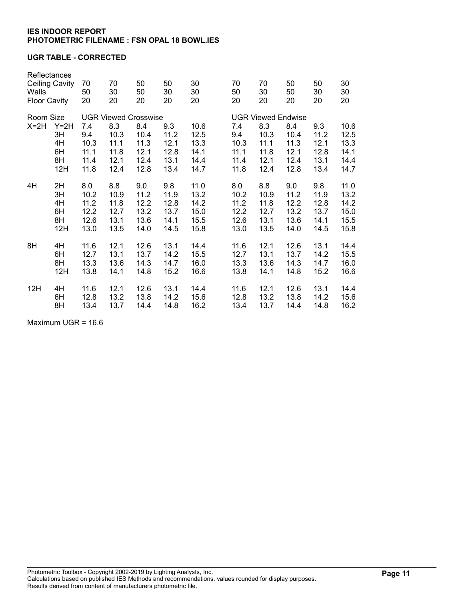### UGR TABLE - CORRECTED

| Reflectances<br><b>Ceiling Cavity</b><br>Walls<br><b>Floor Cavity</b> |                                   | 70<br>50<br>20                              | 70<br>30<br>20                              | 50<br>50<br>20                              | 50<br>30<br>20                              | 30<br>30<br>20                               | 70<br>50<br>20                              | 70<br>30<br>20                              | 50<br>50<br>20                              | 50<br>30<br>20                              | 30<br>30<br>20                               |  |
|-----------------------------------------------------------------------|-----------------------------------|---------------------------------------------|---------------------------------------------|---------------------------------------------|---------------------------------------------|----------------------------------------------|---------------------------------------------|---------------------------------------------|---------------------------------------------|---------------------------------------------|----------------------------------------------|--|
| Room Size                                                             |                                   | <b>UGR Viewed Crosswise</b>                 |                                             |                                             |                                             |                                              |                                             | <b>UGR Viewed Endwise</b>                   |                                             |                                             |                                              |  |
| $X=2H$                                                                | $Y=2H$<br>3H<br>4H<br>6H<br>8H    | 7.4<br>9.4<br>10.3<br>11.1<br>11.4          | 8.3<br>10.3<br>11.1<br>11.8<br>12.1         | 8.4<br>10.4<br>11.3<br>12.1<br>12.4         | 9.3<br>11.2<br>12.1<br>12.8<br>13.1         | 10.6<br>12.5<br>13.3<br>14.1<br>14.4         | 7.4<br>9.4<br>10.3<br>11.1<br>11.4          | 8.3<br>10.3<br>11.1<br>11.8<br>12.1         | 8.4<br>10.4<br>11.3<br>12.1<br>12.4         | 9.3<br>11.2<br>12.1<br>12.8<br>13.1         | 10.6<br>12.5<br>13.3<br>14.1<br>14.4         |  |
|                                                                       | 12H                               | 11.8                                        | 12.4                                        | 12.8                                        | 13.4                                        | 14.7                                         | 11.8                                        | 12.4                                        | 12.8                                        | 13.4                                        | 14.7                                         |  |
| 4H                                                                    | 2H<br>3H<br>4H<br>6H<br>8H<br>12H | 8.0<br>10.2<br>11.2<br>12.2<br>12.6<br>13.0 | 8.8<br>10.9<br>11.8<br>12.7<br>13.1<br>13.5 | 9.0<br>11.2<br>12.2<br>13.2<br>13.6<br>14.0 | 9.8<br>11.9<br>12.8<br>13.7<br>14.1<br>14.5 | 11.0<br>13.2<br>14.2<br>15.0<br>15.5<br>15.8 | 8.0<br>10.2<br>11.2<br>12.2<br>12.6<br>13.0 | 8.8<br>10.9<br>11.8<br>12.7<br>13.1<br>13.5 | 9.0<br>11.2<br>12.2<br>13.2<br>13.6<br>14.0 | 9.8<br>11.9<br>12.8<br>13.7<br>14.1<br>14.5 | 11.0<br>13.2<br>14.2<br>15.0<br>15.5<br>15.8 |  |
| 8H                                                                    | 4H<br>6H<br>8H<br>12H             | 11.6<br>12.7<br>13.3<br>13.8                | 12.1<br>13.1<br>13.6<br>14.1                | 12.6<br>13.7<br>14.3<br>14.8                | 13.1<br>14.2<br>14.7<br>15.2                | 14.4<br>15.5<br>16.0<br>16.6                 | 11.6<br>12.7<br>13.3<br>13.8                | 12.1<br>13.1<br>13.6<br>14.1                | 12.6<br>13.7<br>14.3<br>14.8                | 13.1<br>14.2<br>14.7<br>15.2                | 14.4<br>15.5<br>16.0<br>16.6                 |  |
| 12H                                                                   | 4H<br>6H<br>8H                    | 11.6<br>12.8<br>13.4                        | 12.1<br>13.2<br>13.7                        | 12.6<br>13.8<br>14.4                        | 13.1<br>14.2<br>14.8                        | 14.4<br>15.6<br>16.2                         | 11.6<br>12.8<br>13.4                        | 12.1<br>13.2<br>13.7                        | 12.6<br>13.8<br>14.4                        | 13.1<br>14.2<br>14.8                        | 14.4<br>15.6<br>16.2                         |  |

Maximum UGR = 16.6